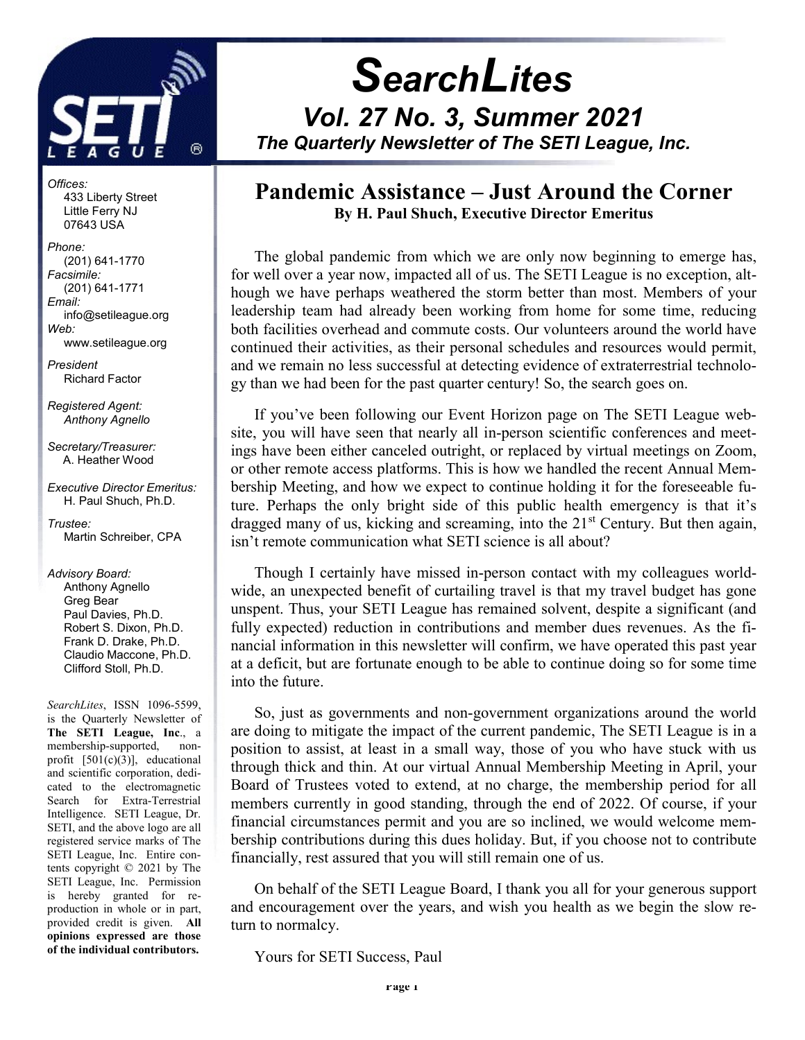

j

Offices: 433 Liberty Street Little Ferry NJ 07643 USA

Phone: (201) 641-1770 Facsimile: (201) 641-1771 Email: info@setileague.org Web: www.setileague.org

President Richard Factor

Registered Agent: Anthony Agnello

Secretary/Treasurer: A. Heather Wood

Executive Director Emeritus: H. Paul Shuch, Ph.D.

Trustee: Martin Schreiber, CPA

#### Advisory Board:

 Anthony Agnello Greg Bear Paul Davies, Ph.D. Robert S. Dixon, Ph.D. Frank D. Drake, Ph.D. Claudio Maccone, Ph.D. Clifford Stoll, Ph.D.

SearchLites, ISSN 1096-5599, is the Quarterly Newsletter of The SETI League, Inc., a membership-supported, nonprofit [501(c)(3)], educational and scientific corporation, dedicated to the electromagnetic Search for Extra-Terrestrial Intelligence. SETI League, Dr. SETI, and the above logo are all registered service marks of The SETI League, Inc. Entire contents copyright © 2021 by The SETI League, Inc. Permission is hereby granted for reproduction in whole or in part, provided credit is given. All opinions expressed are those of the individual contributors.

# **SearchLites** Vol. 27 No. 3, Summer 2021 The Quarterly Newsletter of The SETI League, Inc.

### Pandemic Assistance – Just Around the Corner By H. Paul Shuch, Executive Director Emeritus

The global pandemic from which we are only now beginning to emerge has, for well over a year now, impacted all of us. The SETI League is no exception, although we have perhaps weathered the storm better than most. Members of your leadership team had already been working from home for some time, reducing both facilities overhead and commute costs. Our volunteers around the world have continued their activities, as their personal schedules and resources would permit, and we remain no less successful at detecting evidence of extraterrestrial technology than we had been for the past quarter century! So, the search goes on.

If you've been following our Event Horizon page on The SETI League website, you will have seen that nearly all in-person scientific conferences and meetings have been either canceled outright, or replaced by virtual meetings on Zoom, or other remote access platforms. This is how we handled the recent Annual Membership Meeting, and how we expect to continue holding it for the foreseeable future. Perhaps the only bright side of this public health emergency is that it's dragged many of us, kicking and screaming, into the  $21<sup>st</sup>$  Century. But then again, isn't remote communication what SETI science is all about?

Though I certainly have missed in-person contact with my colleagues worldwide, an unexpected benefit of curtailing travel is that my travel budget has gone unspent. Thus, your SETI League has remained solvent, despite a significant (and fully expected) reduction in contributions and member dues revenues. As the financial information in this newsletter will confirm, we have operated this past year at a deficit, but are fortunate enough to be able to continue doing so for some time into the future.

So, just as governments and non-government organizations around the world are doing to mitigate the impact of the current pandemic, The SETI League is in a position to assist, at least in a small way, those of you who have stuck with us through thick and thin. At our virtual Annual Membership Meeting in April, your Board of Trustees voted to extend, at no charge, the membership period for all members currently in good standing, through the end of 2022. Of course, if your financial circumstances permit and you are so inclined, we would welcome membership contributions during this dues holiday. But, if you choose not to contribute financially, rest assured that you will still remain one of us.

On behalf of the SETI League Board, I thank you all for your generous support and encouragement over the years, and wish you health as we begin the slow return to normalcy.

Yours for SETI Success, Paul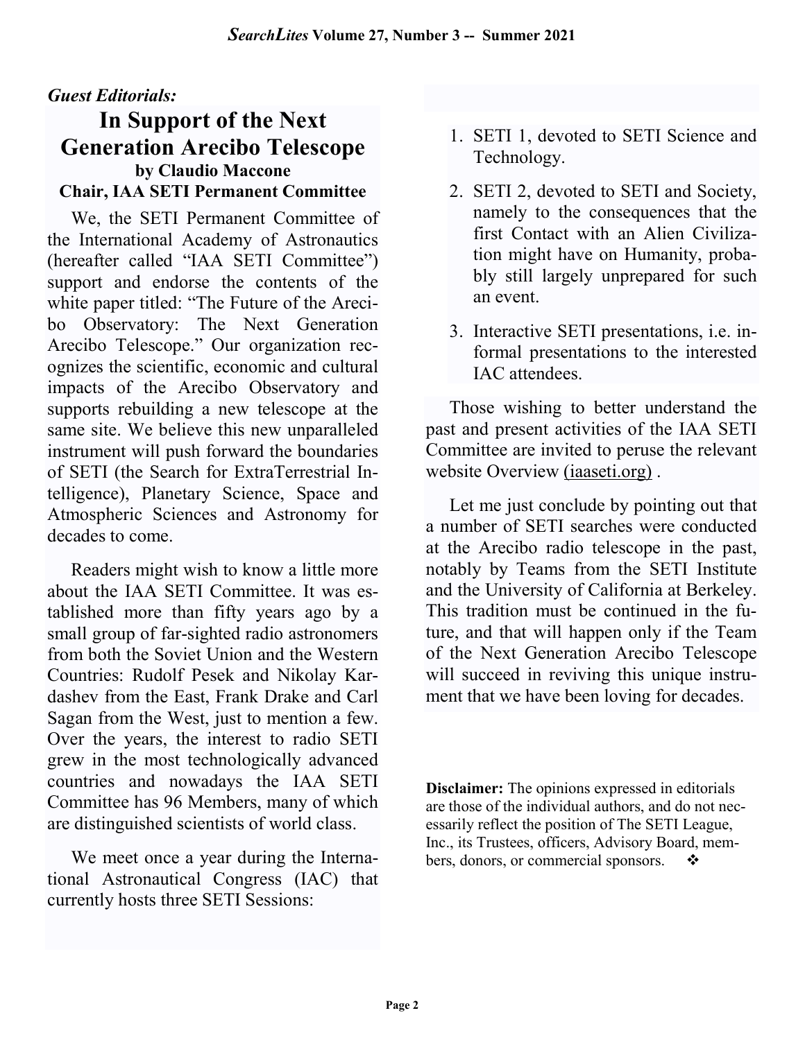### Guest Editorials:

### In Support of the Next Generation Arecibo Telescope by Claudio Maccone Chair, IAA SETI Permanent Committee

We, the SETI Permanent Committee of the International Academy of Astronautics (hereafter called "IAA SETI Committee") support and endorse the contents of the white paper titled: "The Future of the Arecibo Observatory: The Next Generation Arecibo Telescope." Our organization recognizes the scientific, economic and cultural impacts of the Arecibo Observatory and supports rebuilding a new telescope at the same site. We believe this new unparalleled instrument will push forward the boundaries of SETI (the Search for ExtraTerrestrial Intelligence), Planetary Science, Space and Atmospheric Sciences and Astronomy for decades to come.

Readers might wish to know a little more about the IAA SETI Committee. It was established more than fifty years ago by a small group of far-sighted radio astronomers from both the Soviet Union and the Western Countries: Rudolf Pesek and Nikolay Kardashev from the East, Frank Drake and Carl Sagan from the West, just to mention a few. Over the years, the interest to radio SETI grew in the most technologically advanced countries and nowadays the IAA SETI Committee has 96 Members, many of which are distinguished scientists of world class.

We meet once a year during the International Astronautical Congress (IAC) that currently hosts three SETI Sessions:

- 1. SETI 1, devoted to SETI Science and Technology.
- 2. SETI 2, devoted to SETI and Society, namely to the consequences that the first Contact with an Alien Civilization might have on Humanity, probably still largely unprepared for such an event.
- 3. Interactive SETI presentations, i.e. informal presentations to the interested IAC attendees.

Those wishing to better understand the past and present activities of the IAA SETI Committee are invited to peruse the relevant website Overview (iaaseti.org) .

Let me just conclude by pointing out that a number of SETI searches were conducted at the Arecibo radio telescope in the past, notably by Teams from the SETI Institute and the University of California at Berkeley. This tradition must be continued in the future, and that will happen only if the Team of the Next Generation Arecibo Telescope will succeed in reviving this unique instrument that we have been loving for decades.

Disclaimer: The opinions expressed in editorials are those of the individual authors, and do not necessarily reflect the position of The SETI League, Inc., its Trustees, officers, Advisory Board, members, donors, or commercial sponsors.  $\bullet$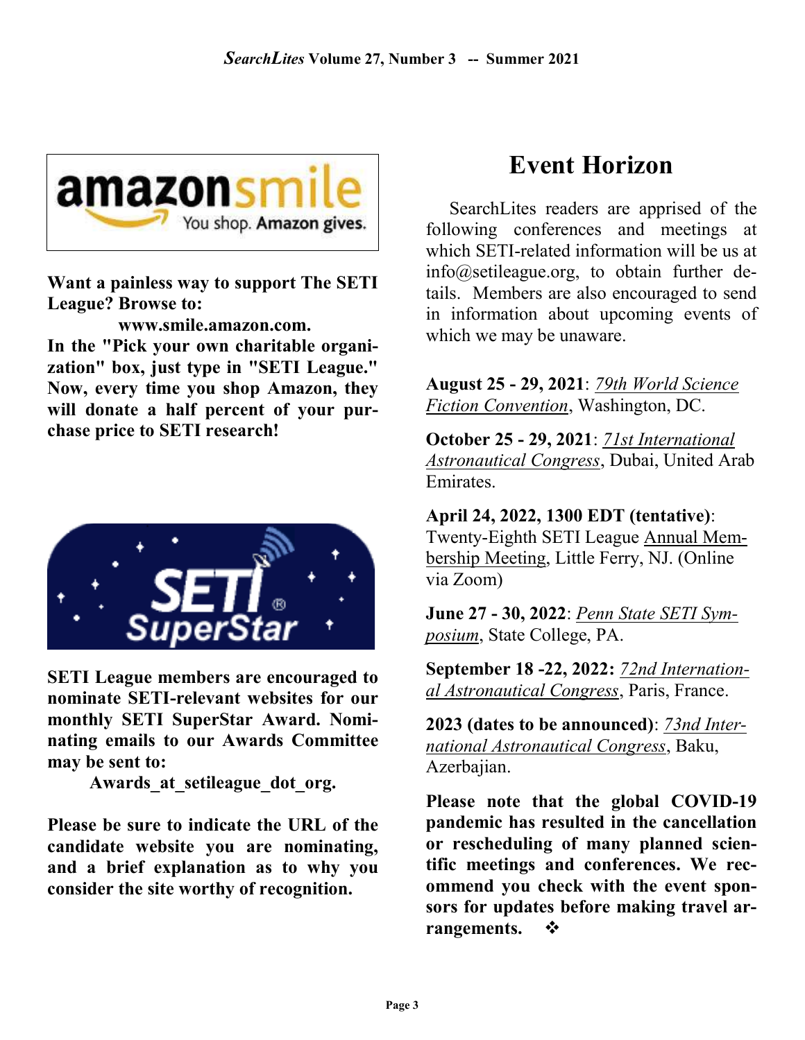

Want a painless way to support The SETI League? Browse to:

 www.smile.amazon.com. In the "Pick your own charitable organization" box, just type in "SETI League." Now, every time you shop Amazon, they will donate a half percent of your purchase price to SETI research!



SETI League members are encouraged to nominate SETI-relevant websites for our monthly SETI SuperStar Award. Nominating emails to our Awards Committee may be sent to:

Awards at setileague dot org.

Please be sure to indicate the URL of the candidate website you are nominating, and a brief explanation as to why you consider the site worthy of recognition.

## Event Horizon

SearchLites readers are apprised of the following conferences and meetings at which SETI-related information will be us at info@setileague.org, to obtain further details. Members are also encouraged to send in information about upcoming events of which we may be unaware.

August 25 - 29, 2021: 79th World Science Fiction Convention, Washington, DC.

October 25 - 29, 2021: 71st International Astronautical Congress, Dubai, United Arab **Emirates** 

April 24, 2022, 1300 EDT (tentative): Twenty-Eighth SETI League Annual Membership Meeting, Little Ferry, NJ. (Online via Zoom)

June 27 - 30, 2022: Penn State SETI Symposium, State College, PA.

September 18 -22, 2022: 72nd International Astronautical Congress, Paris, France.

2023 (dates to be announced): 73nd International Astronautical Congress, Baku, Azerbajian.

Please note that the global COVID-19 pandemic has resulted in the cancellation or rescheduling of many planned scientific meetings and conferences. We recommend you check with the event sponsors for updates before making travel arrangements.  $\mathbf{\hat{P}}$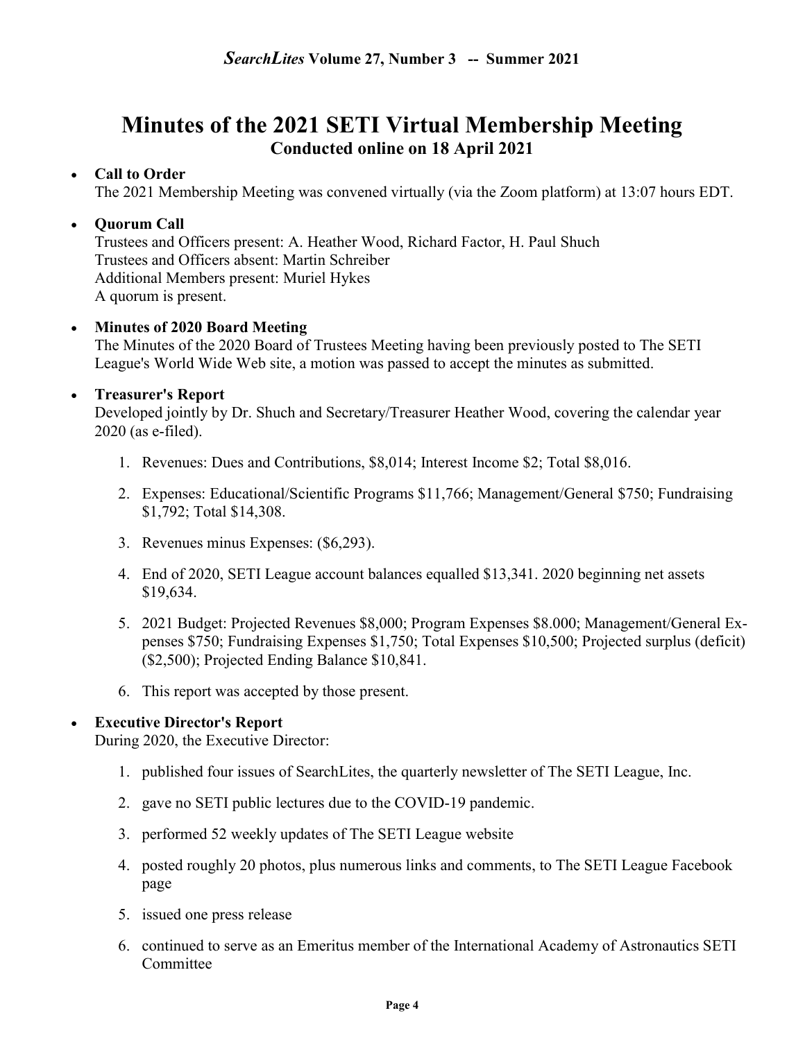### Minutes of the 2021 SETI Virtual Membership Meeting Conducted online on 18 April 2021

#### Call to Order

The 2021 Membership Meeting was convened virtually (via the Zoom platform) at 13:07 hours EDT.

#### • Ouorum Call

Trustees and Officers present: A. Heather Wood, Richard Factor, H. Paul Shuch Trustees and Officers absent: Martin Schreiber Additional Members present: Muriel Hykes A quorum is present.

#### • Minutes of 2020 Board Meeting

The Minutes of the 2020 Board of Trustees Meeting having been previously posted to The SETI League's World Wide Web site, a motion was passed to accept the minutes as submitted.

#### Treasurer's Report

Developed jointly by Dr. Shuch and Secretary/Treasurer Heather Wood, covering the calendar year 2020 (as e-filed).

- 1. Revenues: Dues and Contributions, \$8,014; Interest Income \$2; Total \$8,016.
- 2. Expenses: Educational/Scientific Programs \$11,766; Management/General \$750; Fundraising \$1,792; Total \$14,308.
- 3. Revenues minus Expenses: (\$6,293).
- 4. End of 2020, SETI League account balances equalled \$13,341. 2020 beginning net assets \$19,634.
- 5. 2021 Budget: Projected Revenues \$8,000; Program Expenses \$8.000; Management/General Expenses \$750; Fundraising Expenses \$1,750; Total Expenses \$10,500; Projected surplus (deficit) (\$2,500); Projected Ending Balance \$10,841.
- 6. This report was accepted by those present.

#### Executive Director's Report

During 2020, the Executive Director:

- 1. published four issues of SearchLites, the quarterly newsletter of The SETI League, Inc.
- 2. gave no SETI public lectures due to the COVID-19 pandemic.
- 3. performed 52 weekly updates of The SETI League website
- 4. posted roughly 20 photos, plus numerous links and comments, to The SETI League Facebook page
- 5. issued one press release
- 6. continued to serve as an Emeritus member of the International Academy of Astronautics SETI Committee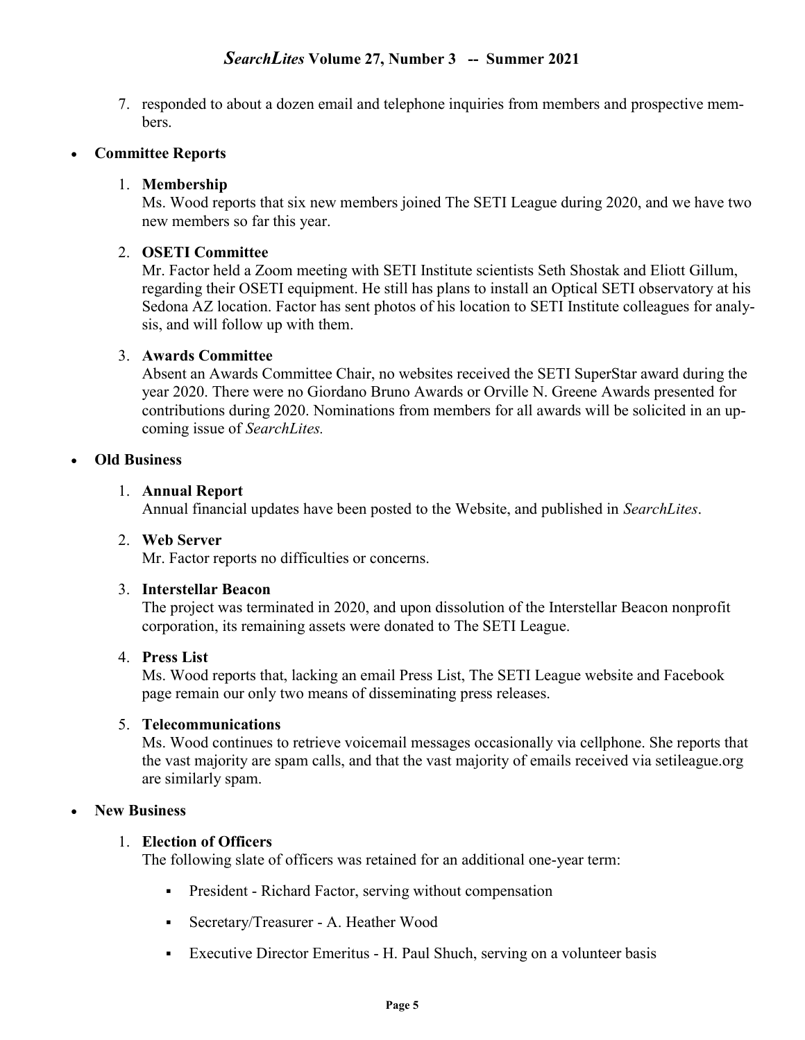7. responded to about a dozen email and telephone inquiries from members and prospective members.

#### Committee Reports

#### 1. Membership

Ms. Wood reports that six new members joined The SETI League during 2020, and we have two new members so far this year.

#### 2. OSETI Committee

Mr. Factor held a Zoom meeting with SETI Institute scientists Seth Shostak and Eliott Gillum, regarding their OSETI equipment. He still has plans to install an Optical SETI observatory at his Sedona AZ location. Factor has sent photos of his location to SETI Institute colleagues for analysis, and will follow up with them.

#### 3. Awards Committee

Absent an Awards Committee Chair, no websites received the SETI SuperStar award during the year 2020. There were no Giordano Bruno Awards or Orville N. Greene Awards presented for contributions during 2020. Nominations from members for all awards will be solicited in an upcoming issue of SearchLites.

#### Old Business

#### 1. Annual Report

Annual financial updates have been posted to the Website, and published in SearchLites.

#### 2. Web Server

Mr. Factor reports no difficulties or concerns.

#### 3. Interstellar Beacon

The project was terminated in 2020, and upon dissolution of the Interstellar Beacon nonprofit corporation, its remaining assets were donated to The SETI League.

#### 4. Press List

Ms. Wood reports that, lacking an email Press List, The SETI League website and Facebook page remain our only two means of disseminating press releases.

#### 5. Telecommunications

Ms. Wood continues to retrieve voicemail messages occasionally via cellphone. She reports that the vast majority are spam calls, and that the vast majority of emails received via setileague.org are similarly spam.

#### New Business

#### 1. Election of Officers

The following slate of officers was retained for an additional one-year term:

- President Richard Factor, serving without compensation
- Secretary/Treasurer A. Heather Wood
- Executive Director Emeritus H. Paul Shuch, serving on a volunteer basis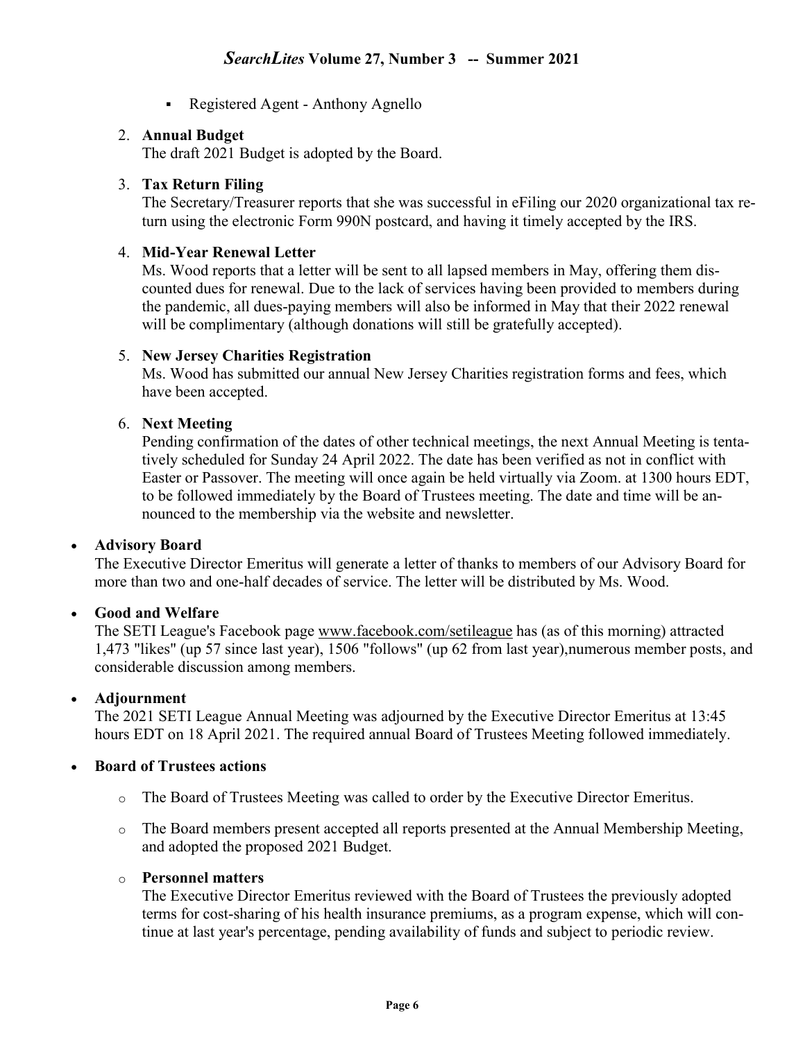• Registered Agent - Anthony Agnello

#### 2. Annual Budget

The draft 2021 Budget is adopted by the Board.

#### 3. Tax Return Filing

The Secretary/Treasurer reports that she was successful in eFiling our 2020 organizational tax return using the electronic Form 990N postcard, and having it timely accepted by the IRS.

#### 4. Mid-Year Renewal Letter

Ms. Wood reports that a letter will be sent to all lapsed members in May, offering them discounted dues for renewal. Due to the lack of services having been provided to members during the pandemic, all dues-paying members will also be informed in May that their 2022 renewal will be complimentary (although donations will still be gratefully accepted).

#### 5. New Jersey Charities Registration

Ms. Wood has submitted our annual New Jersey Charities registration forms and fees, which have been accepted.

#### 6. Next Meeting

Pending confirmation of the dates of other technical meetings, the next Annual Meeting is tentatively scheduled for Sunday 24 April 2022. The date has been verified as not in conflict with Easter or Passover. The meeting will once again be held virtually via Zoom. at 1300 hours EDT, to be followed immediately by the Board of Trustees meeting. The date and time will be announced to the membership via the website and newsletter.

#### Advisory Board

The Executive Director Emeritus will generate a letter of thanks to members of our Advisory Board for more than two and one-half decades of service. The letter will be distributed by Ms. Wood.

#### Good and Welfare

The SETI League's Facebook page www.facebook.com/setileague has (as of this morning) attracted 1,473 "likes" (up 57 since last year), 1506 "follows" (up 62 from last year),numerous member posts, and considerable discussion among members.

#### Adjournment

The 2021 SETI League Annual Meeting was adjourned by the Executive Director Emeritus at 13:45 hours EDT on 18 April 2021. The required annual Board of Trustees Meeting followed immediately.

#### Board of Trustees actions

- o The Board of Trustees Meeting was called to order by the Executive Director Emeritus.
- o The Board members present accepted all reports presented at the Annual Membership Meeting, and adopted the proposed 2021 Budget.

#### o Personnel matters

The Executive Director Emeritus reviewed with the Board of Trustees the previously adopted terms for cost-sharing of his health insurance premiums, as a program expense, which will continue at last year's percentage, pending availability of funds and subject to periodic review.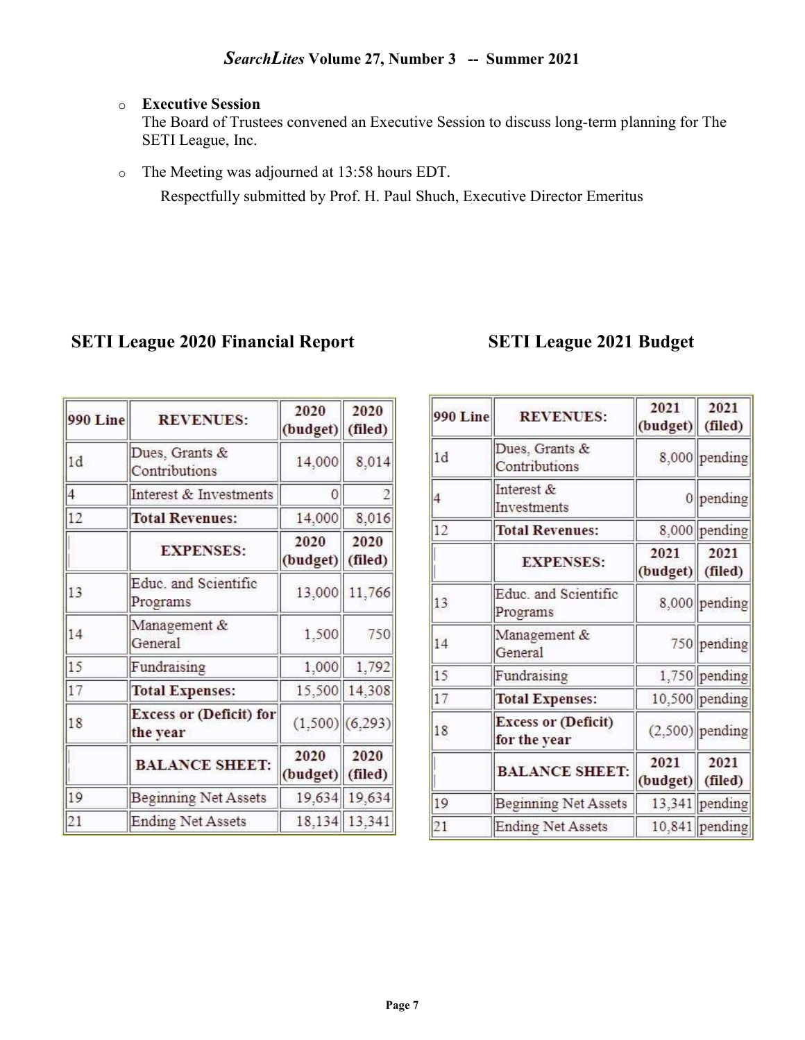#### o Executive Session

The Board of Trustees convened an Executive Session to discuss long-term planning for The SETI League, Inc.

o The Meeting was adjourned at 13:58 hours EDT.

Respectfully submitted by Prof. H. Paul Shuch, Executive Director Emeritus

### SETI League 2020 Financial Report SETI League 2021 Budget

| 990 Line       | <b>REVENUES:</b>                           | 2020<br>(budget) | 2020<br>(filed)   |
|----------------|--------------------------------------------|------------------|-------------------|
| 1d             | Dues, Grants &<br>Contributions            | 14,000           | 8,014             |
| $\overline{4}$ | Interest & Investments                     | 0                |                   |
| 12             | <b>Total Revenues:</b>                     | 14,000           | 8,016             |
|                | <b>EXPENSES:</b>                           | 2020<br>(budget) | 2020<br>(filed)   |
| 13             | Educ. and Scientific<br>Programs           | 13,000           | 11,766            |
| 14             | Management &<br>General                    | 1,500            | 750               |
| 15             | Fundraising                                | 1,000            | 1,792             |
| 17             | <b>Total Expenses:</b>                     | 15,500           | 14,308            |
| 18             | <b>Excess or (Deficit) for</b><br>the year |                  | $(1,500)$ (6,293) |
|                | <b>BALANCE SHEET:</b>                      | 2020<br>(budget) | 2020<br>(filed)   |
| 19             | <b>Beginning Net Assets</b>                | 19,634           | 19,634            |
| 21             | <b>Ending Net Assets</b>                   |                  | 18,134 13,341     |

| 990 Line | <b>REVENUES:</b>                           | 2021<br>(budget) | 2021<br>(filed)   |
|----------|--------------------------------------------|------------------|-------------------|
| 1d       | Dues, Grants &<br>Contributions            |                  | 8,000 pending     |
| 4        | Interest &<br>Investments                  | 0                | pending           |
| 12       | <b>Total Revenues:</b>                     |                  | 8,000 pending     |
|          | <b>EXPENSES:</b>                           | 2021<br>(budget) | 2021<br>(filed)   |
| 13       | Educ. and Scientific<br>Programs           |                  | 8,000 pending     |
| 14       | Management &<br>General                    |                  | 750 pending       |
| 15       | Fundraising                                |                  | 1,750 pending     |
| 17       | <b>Total Expenses:</b>                     |                  | 10,500 pending    |
| 18       | <b>Excess or (Deficit)</b><br>for the year |                  | $(2,500)$ pending |
|          | <b>BALANCE SHEET:</b>                      | 2021<br>(budget) | 2021<br>(filed)   |
| 19       | <b>Beginning Net Assets</b>                |                  | $13,341$ pending  |
| 21       | <b>Ending Net Assets</b>                   |                  | 10,841 pending    |